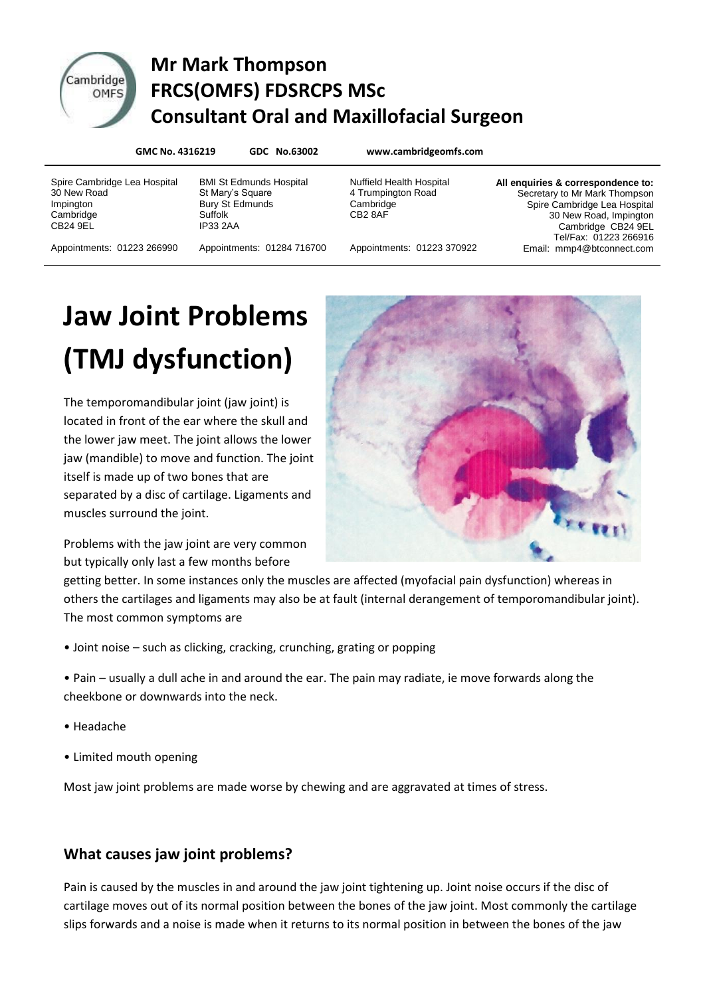

# Cambridge Mr Mark Thompson **ERCS(OMFS) FDSRCPS MSc Consultant Oral and Maxillofacial Surgeon**

**GMC No. 4316219 GDC No.63002 www.cambridgeomfs.com**

Spire Cambridge Lea Hospital 30 New Road Impington **Cambridge** CB24 9EL

BMI St Edmunds Hospital St Mary's Square Bury St Edmunds Suffolk IP33 2AA

4 Trumpington Road **Cambridge** CB2 8AF

Nuffield Health Hospital

**All enquiries & correspondence to:** Secretary to Mr Mark Thompson Spire Cambridge Lea Hospital 30 New Road, Impington Cambridge CB24 9EL Tel/Fax: 01223 266916 Email: mmp4@btconnect.com

Appointments: 01223 266990

Appointments: 01284 716700

Appointments: 01223 370922

# **Jaw Joint Problems (TMJ dysfunction)**

The temporomandibular joint (jaw joint) is located in front of the ear where the skull and the lower jaw meet. The joint allows the lower jaw (mandible) to move and function. The joint itself is made up of two bones that are separated by a disc of cartilage. Ligaments and muscles surround the joint.



Problems with the jaw joint are very common but typically only last a few months before

getting better. In some instances only the muscles are affected (myofacial pain dysfunction) whereas in others the cartilages and ligaments may also be at fault (internal derangement of temporomandibular joint). The most common symptoms are

• Joint noise – such as clicking, cracking, crunching, grating or popping

• Pain – usually a dull ache in and around the ear. The pain may radiate, ie move forwards along the cheekbone or downwards into the neck.

- Headache
- Limited mouth opening

Most jaw joint problems are made worse by chewing and are aggravated at times of stress.

# **What causes jaw joint problems?**

Pain is caused by the muscles in and around the jaw joint tightening up. Joint noise occurs if the disc of cartilage moves out of its normal position between the bones of the jaw joint. Most commonly the cartilage slips forwards and a noise is made when it returns to its normal position in between the bones of the jaw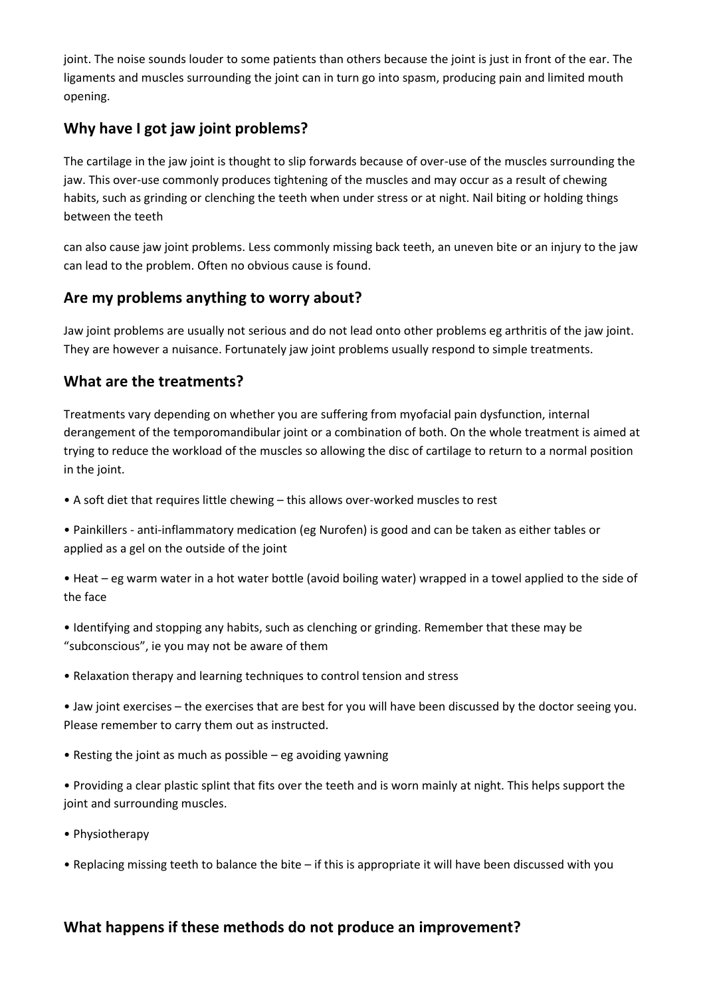joint. The noise sounds louder to some patients than others because the joint is just in front of the ear. The ligaments and muscles surrounding the joint can in turn go into spasm, producing pain and limited mouth opening.

# **Why have I got jaw joint problems?**

The cartilage in the jaw joint is thought to slip forwards because of over-use of the muscles surrounding the jaw. This over-use commonly produces tightening of the muscles and may occur as a result of chewing habits, such as grinding or clenching the teeth when under stress or at night. Nail biting or holding things between the teeth

can also cause jaw joint problems. Less commonly missing back teeth, an uneven bite or an injury to the jaw can lead to the problem. Often no obvious cause is found.

#### **Are my problems anything to worry about?**

Jaw joint problems are usually not serious and do not lead onto other problems eg arthritis of the jaw joint. They are however a nuisance. Fortunately jaw joint problems usually respond to simple treatments.

#### **What are the treatments?**

Treatments vary depending on whether you are suffering from myofacial pain dysfunction, internal derangement of the temporomandibular joint or a combination of both. On the whole treatment is aimed at trying to reduce the workload of the muscles so allowing the disc of cartilage to return to a normal position in the joint.

- A soft diet that requires little chewing this allows over-worked muscles to rest
- Painkillers anti-inflammatory medication (eg Nurofen) is good and can be taken as either tables or applied as a gel on the outside of the joint
- Heat eg warm water in a hot water bottle (avoid boiling water) wrapped in a towel applied to the side of the face
- Identifying and stopping any habits, such as clenching or grinding. Remember that these may be "subconscious", ie you may not be aware of them
- Relaxation therapy and learning techniques to control tension and stress
- Jaw joint exercises the exercises that are best for you will have been discussed by the doctor seeing you. Please remember to carry them out as instructed.
- Resting the joint as much as possible eg avoiding yawning
- Providing a clear plastic splint that fits over the teeth and is worn mainly at night. This helps support the joint and surrounding muscles.
- Physiotherapy
- Replacing missing teeth to balance the bite if this is appropriate it will have been discussed with you

#### **What happens if these methods do not produce an improvement?**